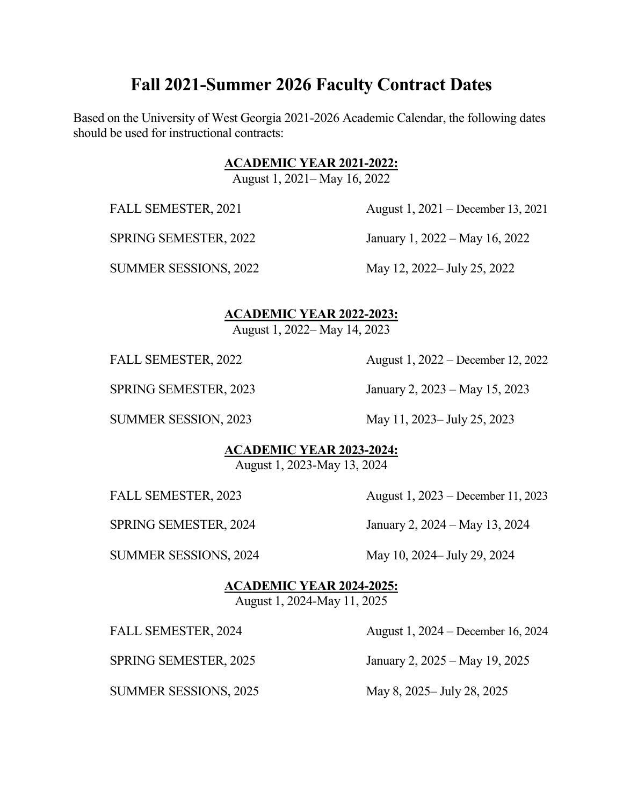# **Fall 2021-Summer 2026 Faculty Contract Dates**

Based on the University of West Georgia 2021-2026 Academic Calendar, the following dates should be used for instructional contracts:

#### **ACADEMIC YEAR 2021-2022:**

August 1, 2021– May 16, 2022

FALL SEMESTER, 2021 August 1, 2021 – December 13, 2021

SPRING SEMESTER, 2022 January 1, 2022 – May 16, 2022

SUMMER SESSIONS, 2022 May 12, 2022– July 25, 2022

### **ACADEMIC YEAR 2022-2023:**

August 1, 2022– May 14, 2023

FALL SEMESTER, 2022 August 1, 2022 – December 12, 2022

SPRING SEMESTER, 2023 January 2, 2023 – May 15, 2023

SUMMER SESSION, 2023 May 11, 2023– July 25, 2023

#### **ACADEMIC YEAR 2023-2024:**

August 1, 2023-May 13, 2024

FALL SEMESTER, 2023 August 1, 2023 – December 11, 2023

SPRING SEMESTER, 2024 January 2, 2024 – May 13, 2024

SUMMER SESSIONS, 2024 May 10, 2024 July 29, 2024

**ACADEMIC YEAR 2024-2025:**

# August 1, 2024-May 11, 2025

FALL SEMESTER, 2024 August 1, 2024 – December 16, 2024 SPRING SEMESTER, 2025 January 2, 2025 – May 19, 2025 SUMMER SESSIONS, 2025 May 8, 2025– July 28, 2025